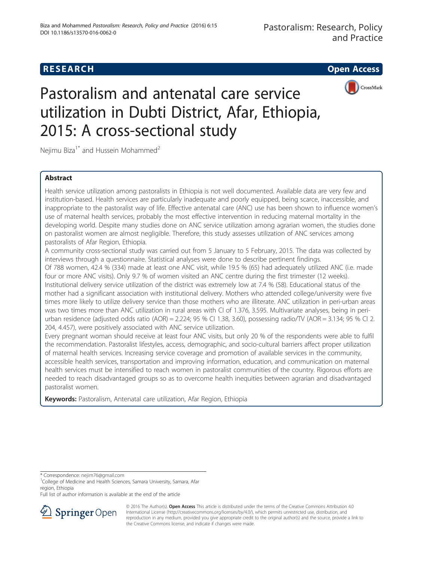## **RESEARCH CHEAR CHEAR CHEAR CHEAR CHEAR CHEAR CHEAR CHEAR CHEAR CHEAR CHEAR CHEAR CHEAR CHEAR CHEAR CHEAR CHEAR**



# Pastoralism and antenatal care service utilization in Dubti District, Afar, Ethiopia, 2015: A cross-sectional study

Nejimu Biza<sup>1\*</sup> and Hussein Mohammed<sup>2</sup>

### Abstract

Health service utilization among pastoralists in Ethiopia is not well documented. Available data are very few and institution-based. Health services are particularly inadequate and poorly equipped, being scarce, inaccessible, and inappropriate to the pastoralist way of life. Effective antenatal care (ANC) use has been shown to influence women's use of maternal health services, probably the most effective intervention in reducing maternal mortality in the developing world. Despite many studies done on ANC service utilization among agrarian women, the studies done on pastoralist women are almost negligible. Therefore, this study assesses utilization of ANC services among pastoralists of Afar Region, Ethiopia.

A community cross-sectional study was carried out from 5 January to 5 February, 2015. The data was collected by interviews through a questionnaire. Statistical analyses were done to describe pertinent findings.

Of 788 women, 42.4 % (334) made at least one ANC visit, while 19.5 % (65) had adequately utilized ANC (i.e. made four or more ANC visits). Only 9.7 % of women visited an ANC centre during the first trimester (12 weeks). Institutional delivery service utilization of the district was extremely low at 7.4 % (58). Educational status of the mother had a significant association with institutional delivery. Mothers who attended college/university were five times more likely to utilize delivery service than those mothers who are illiterate. ANC utilization in peri-urban areas was two times more than ANC utilization in rural areas with CI of 1.376, 3.595. Multivariate analyses, being in periurban residence (adjusted odds ratio (AOR) = 2.224; 95 % CI 1.38, 3.60), possessing radio/TV (AOR = 3.134; 95 % CI 2. 204, 4.457), were positively associated with ANC service utilization.

Every pregnant woman should receive at least four ANC visits, but only 20 % of the respondents were able to fulfil the recommendation. Pastoralist lifestyles, access, demographic, and socio-cultural barriers affect proper utilization of maternal health services. Increasing service coverage and promotion of available services in the community, accessible health services, transportation and improving information, education, and communication on maternal health services must be intensified to reach women in pastoralist communities of the country. Rigorous efforts are needed to reach disadvantaged groups so as to overcome health inequities between agrarian and disadvantaged pastoralist women.

Keywords: Pastoralism, Antenatal care utilization, Afar Region, Ethiopia

\* Correspondence: [nejim76@gmail.com](mailto:nejim76@gmail.com) <sup>1</sup>

<sup>1</sup>College of Medicine and Health Sciences, Samara University, Samara, Afar region, Ethiopia

Full list of author information is available at the end of the article



<sup>© 2016</sup> The Author(s). Open Access This article is distributed under the terms of the Creative Commons Attribution 4.0 International License ([http://creativecommons.org/licenses/by/4.0/\)](http://creativecommons.org/licenses/by/4.0/), which permits unrestricted use, distribution, and reproduction in any medium, provided you give appropriate credit to the original author(s) and the source, provide a link to the Creative Commons license, and indicate if changes were made.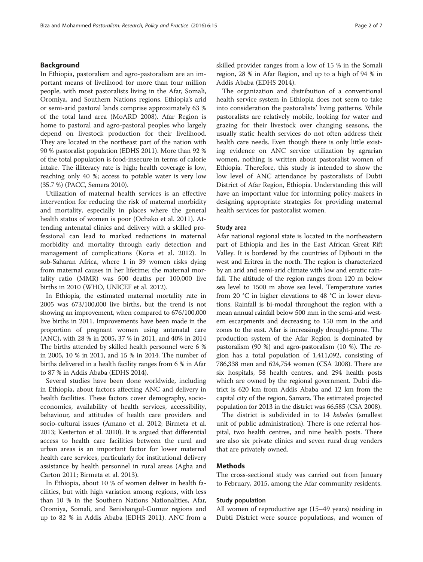### Background

In Ethiopia, pastoralism and agro-pastoralism are an important means of livelihood for more than four million people, with most pastoralists living in the Afar, Somali, Oromiya, and Southern Nations regions. Ethiopia's arid or semi-arid pastoral lands comprise approximately 63 % of the total land area (MoARD [2008\)](#page-6-0). Afar Region is home to pastoral and agro-pastoral peoples who largely depend on livestock production for their livelihood. They are located in the northeast part of the nation with 90 % pastoralist population (EDHS [2011](#page-6-0)). More than 92 % of the total population is food-insecure in terms of calorie intake. The illiteracy rate is high; health coverage is low, reaching only 40 %; access to potable water is very low (35.7 %) (PACC, Semera [2010\)](#page-6-0).

Utilization of maternal health services is an effective intervention for reducing the risk of maternal morbidity and mortality, especially in places where the general health status of women is poor (Ochako et al. [2011\)](#page-6-0). Attending antenatal clinics and delivery with a skilled professional can lead to marked reductions in maternal morbidity and mortality through early detection and management of complications (Koria et al. [2012\)](#page-6-0). In sub-Saharan Africa, where 1 in 39 women risks dying from maternal causes in her lifetime; the maternal mortality ratio (MMR) was 500 deaths per 100,000 live births in 2010 (WHO, UNICEF et al. [2012](#page-6-0)).

In Ethiopia, the estimated maternal mortality rate in 2005 was 673/100,000 live births, but the trend is not showing an improvement, when compared to 676/100,000 live births in 2011. Improvements have been made in the proportion of pregnant women using antenatal care (ANC), with 28 % in 2005, 37 % in 2011, and 40% in 2014 The births attended by skilled health personnel were 6 % in 2005, 10 % in 2011, and 15 % in 2014. The number of births delivered in a health facility ranges from 6 % in Afar to 87 % in Addis Ababa (EDHS [2014\)](#page-6-0).

Several studies have been done worldwide, including in Ethiopia, about factors affecting ANC and delivery in health facilities. These factors cover demography, socioeconomics, availability of health services, accessibility, behaviour, and attitudes of health care providers and socio-cultural issues (Amano et al. [2012;](#page-5-0) Birmeta et al. [2013](#page-6-0); Kesterton et al. [2010\)](#page-6-0). It is argued that differential access to health care facilities between the rural and urban areas is an important factor for lower maternal health care services, particularly for institutional delivery assistance by health personnel in rural areas (Agha and Carton [2011;](#page-5-0) Birmeta et al. [2013](#page-6-0)).

In Ethiopia, about 10 % of women deliver in health facilities, but with high variation among regions, with less than 10 % in the Southern Nations Nationalities, Afar, Oromiya, Somali, and Benishangul-Gumuz regions and up to 82 % in Addis Ababa (EDHS [2011](#page-6-0)). ANC from a skilled provider ranges from a low of 15 % in the Somali region, 28 % in Afar Region, and up to a high of 94 % in Addis Ababa (EDHS 2014).

The organization and distribution of a conventional health service system in Ethiopia does not seem to take into consideration the pastoralists' living patterns. While pastoralists are relatively mobile, looking for water and grazing for their livestock over changing seasons, the usually static health services do not often address their health care needs. Even though there is only little existing evidence on ANC service utilization by agrarian women, nothing is written about pastoralist women of Ethiopia. Therefore, this study is intended to show the low level of ANC attendance by pastoralists of Dubti District of Afar Region, Ethiopia. Understanding this will have an important value for informing policy-makers in designing appropriate strategies for providing maternal health services for pastoralist women.

### Study area

Afar national regional state is located in the northeastern part of Ethiopia and lies in the East African Great Rift Valley. It is bordered by the countries of Djibouti in the west and Eritrea in the north. The region is characterized by an arid and semi-arid climate with low and erratic rainfall. The altitude of the region ranges from 120 m below sea level to 1500 m above sea level. Temperature varies from 20 °C in higher elevations to 48 °C in lower elevations. Rainfall is bi-modal throughout the region with a mean annual rainfall below 500 mm in the semi-arid western escarpments and decreasing to 150 mm in the arid zones to the east. Afar is increasingly drought-prone. The production system of the Afar Region is dominated by pastoralism (90 %) and agro-pastoralism (10 %). The region has a total population of 1,411,092, consisting of 786,338 men and 624,754 women (CSA [2008](#page-6-0)). There are six hospitals, 58 health centres, and 294 health posts which are owned by the regional government. Dubti district is 620 km from Addis Ababa and 12 km from the capital city of the region, Samara. The estimated projected population for 2013 in the district was 66,585 (CSA [2008](#page-6-0)).

The district is subdivided in to 14 kebeles (smallest unit of public administration). There is one referral hospital, two health centres, and nine health posts. There are also six private clinics and seven rural drug venders that are privately owned.

### Methods

The cross-sectional study was carried out from January to February, 2015, among the Afar community residents.

### Study population

All women of reproductive age (15–49 years) residing in Dubti District were source populations, and women of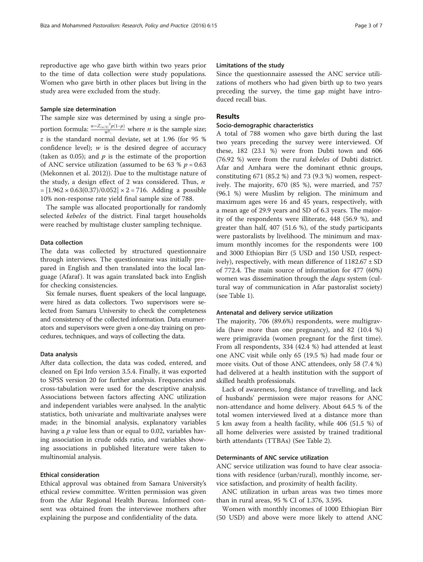reproductive age who gave birth within two years prior to the time of data collection were study populations. Women who gave birth in other places but living in the study area were excluded from the study.

### Sample size determination

The sample size was determined by using a single proportion formula:  $\frac{n=Z_{(\alpha/2)}^2 p(1-p)}{w^2}$  where *n* is the sample size;  $z$  is the standard normal deviate, set at 1.96 (for 95 % confidence level);  $w$  is the desired degree of accuracy (taken as 0.05); and  $p$  is the estimate of the proportion of ANC service utilization (assumed to be 63 %  $p = 0.63$ ) (Mekonnen et al. [2012](#page-6-0))). Due to the multistage nature of the study, a design effect of 2 was considered. Thus,  $n$  $=[1.962 \times 0.63(0.37)/0.052] \times 2 = 716$ . Adding a possible 10% non-response rate yield final sample size of 788.

The sample was allocated proportionally for randomly selected kebeles of the district. Final target households were reached by multistage cluster sampling technique.

### Data collection

The data was collected by structured questionnaire through interviews. The questionnaire was initially prepared in English and then translated into the local language (Afaraf). It was again translated back into English for checking consistencies.

Six female nurses, fluent speakers of the local language, were hired as data collectors. Two supervisors were selected from Samara University to check the completeness and consistency of the collected information. Data enumerators and supervisors were given a one-day training on procedures, techniques, and ways of collecting the data.

### Data analysis

After data collection, the data was coded, entered, and cleaned on Epi Info version 3.5.4. Finally, it was exported to SPSS version 20 for further analysis. Frequencies and cross-tabulation were used for the descriptive analysis. Associations between factors affecting ANC utilization and independent variables were analysed. In the analytic statistics, both univariate and multivariate analyses were made; in the binomial analysis, explanatory variables having a  $p$  value less than or equal to 0.02, variables having association in crude odds ratio, and variables showing associations in published literature were taken to multinomial analysis.

### Ethical consideration

Ethical approval was obtained from Samara University's ethical review committee. Written permission was given from the Afar Regional Health Bureau. Informed consent was obtained from the interviewee mothers after explaining the purpose and confidentiality of the data.

### Limitations of the study

Since the questionnaire assessed the ANC service utilizations of mothers who had given birth up to two years preceding the survey, the time gap might have introduced recall bias.

### **Results**

### Socio-demographic characteristics

A total of 788 women who gave birth during the last two years preceding the survey were interviewed. Of these, 182 (23.1 %) were from Dubti town and 606 (76.92 %) were from the rural kebeles of Dubti district. Afar and Amhara were the dominant ethnic groups, constituting 671 (85.2 %) and 73 (9.3 %) women, respectively. The majority, 670 (85 %), were married, and 757 (96.1 %) were Muslim by religion. The minimum and maximum ages were 16 and 45 years, respectively, with a mean age of 29.9 years and SD of 6.3 years. The majority of the respondents were illiterate, 448 (56.9 %), and greater than half, 407 (51.6 %), of the study participants were pastoralists by livelihood. The minimum and maximum monthly incomes for the respondents were 100 and 3000 Ethiopian Birr (5 USD and 150 USD, respectively), respectively, with mean difference of  $1182.67 \pm SD$ of 772.4. The main source of information for 477 (60%) women was dissemination through the dagu system (cultural way of communication in Afar pastoralist society) (see Table [1\)](#page-3-0).

### Antenatal and delivery service utilization

The majority, 706 (89.6%) respondents, were multigravida (have more than one pregnancy), and 82 (10.4 %) were primigravida (women pregnant for the first time). From all respondents, 334 (42.4 %) had attended at least one ANC visit while only 65 (19.5 %) had made four or more visits. Out of those ANC attendees, only 58 (7.4 %) had delivered at a health institution with the support of skilled health professionals.

Lack of awareness, long distance of travelling, and lack of husbands' permission were major reasons for ANC non-attendance and home delivery. About 64.5 % of the total women interviewed lived at a distance more than 5 km away from a health facility, while 406 (51.5 %) of all home deliveries were assisted by trained traditional birth attendants (TTBAs) (See Table [2\)](#page-3-0).

### Determinants of ANC service utilization

ANC service utilization was found to have clear associations with residence (urban/rural), monthly income, service satisfaction, and proximity of health facility.

ANC utilization in urban areas was two times more than in rural areas, 95 % CI of 1.376, 3.595.

Women with monthly incomes of 1000 Ethiopian Birr (50 USD) and above were more likely to attend ANC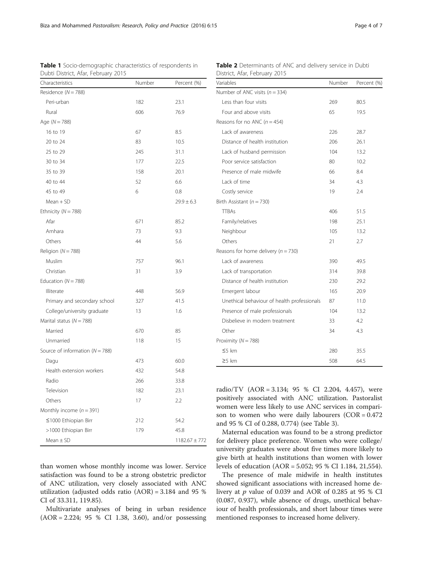than women whose monthly income was lower. Service satisfaction was found to be a strong obstetric predictor of ANC utilization, very closely associated with ANC utilization (adjusted odds ratio (AOR) = 3.184 and 95 % CI of 33.311, 119.85).

 $Mean \pm SD$  1182.67  $\pm$  772

Multivariate analyses of being in urban residence (AOR = 2.224; 95 % CI 1.38, 3.60), and/or possessing

| Variables                                   | Number | Percent (%) |
|---------------------------------------------|--------|-------------|
| Number of ANC visits $(n = 334)$            |        |             |
| Less than four visits                       | 269    | 80.5        |
| Four and above visits                       | 65     | 19.5        |
| Reasons for no ANC ( $n = 454$ )            |        |             |
| Lack of awareness                           | 226    | 28.7        |
| Distance of health institution              | 206    | 26.1        |
| Lack of husband permission                  | 104    | 13.2        |
| Poor service satisfaction                   | 80     | 10.2        |
| Presence of male midwife                    | 66     | 8.4         |
| Lack of time                                | 34     | 4.3         |
| Costly service                              | 19     | 7.4         |
| Birth Assistant ( $n = 730$ )               |        |             |
| <b>TTBAs</b>                                | 406    | 51.5        |
| Family/relatives                            | 198    | 25.1        |
| Neighbour                                   | 105    | 13.2        |
| Others                                      | 21     | 2.7         |
| Reasons for home delivery ( $n = 730$ )     |        |             |
| Lack of awareness                           | 390    | 49.5        |
| Lack of transportation                      | 314    | 39.8        |
| Distance of health institution              | 230    | 29.2        |
| Emergent labour                             | 165    | 20.9        |
| Unethical behaviour of health professionals | 87     | 11.0        |
| Presence of male professionals              | 104    | 13.2        |
| Disbelieve in modern treatment              | 33     | 4.2         |
| Other                                       | 34     | 4.3         |
| Proximity ( $N = 788$ )                     |        |             |
| $\leq$ 5 km                                 | 280    | 35.5        |
| $\geq$ 5 km                                 | 508    | 64.5        |

### <span id="page-3-0"></span>Table 1 Socio-demographic characteristics of respondents in Table 2 Determinants of ANC and delivery service in Dubti District, Afar, February 2015

radio/TV (AOR = 3.134; 95 % CI 2.204, 4.457), were positively associated with ANC utilization. Pastoralist women were less likely to use ANC services in comparison to women who were daily labourers  $(COR = 0.472)$ and 95 % CI of 0.288, 0.774) (see Table [3\)](#page-4-0).

Maternal education was found to be a strong predictor for delivery place preference. Women who were college/ university graduates were about five times more likely to give birth at health institutions than women with lower levels of education (AOR = 5.052; 95 % CI 1.184, 21,554).

The presence of male midwife in health institutes showed significant associations with increased home delivery at  $p$  value of 0.039 and AOR of 0.285 at 95 % CI (0.087, 0.937), while absence of drugs, unethical behaviour of health professionals, and short labour times were mentioned responses to increased home delivery.

Characteristics Number Percent (%)

Peri-urban 182 23.1 Rural 606 76.9

16 to 19 67 8.5 20 to 24 83 10.5 25 to 29 245 245 31.1 30 to 34 177 22.5 35 to 39 158 20.1 40 to 44 52 6.6 45 to 49 6 0.8 Mean + SD  $29.9 \pm 6.3$ 

Afar 671 85.2 Amhara 2012 12:33 12:34 12:35 12:35 12:36 12:37 12:38 12:39 12:32 12:32 12:32 12:32 12:32 12:32 12:32 12:32 12:32 12:32 12:32 12:32 12:32 12:32 12:32 12:32 12:32 12:32 12:32 12:32 12:32 12:32 12:32 12:32 12:32 12:32 12:32 Others 5.6

Muslim 757 96.1 Christian 31 3.9

Illiterate 56.9 Primary and secondary school 327 41.5 College/university graduate 13 1.6

Married 85 Unmarried 118 15

Dagu 10.000 10.000 10.000 10.000 10.000 10.000 10.000 10.000 10.000 10.000 10.000 10.000 10.000 10.000 10.000 1 Health extension workers 432 432 Radio 266 33.8 **Television** 182 23.1 Others 2.2

≤1000 Ethiopian Birr 212 54.2 >1000 Ethiopian Birr 179 45.8

Dubti District, Afar, February 2015

Residence (N = 788)

Age  $(N = 788)$ 

Ethnicity ( $N = 788$ )

Religion ( $N = 788$ )

Education  $(N = 788)$ 

Marital status ( $N = 788$ )

Source of information  $(N = 788)$ 

Monthly income  $(n = 391)$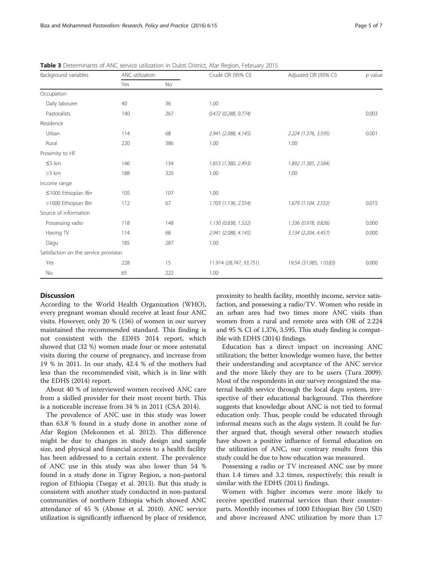| Background variables                  | ANC utilization |     | Crude OR (95% CI)       | Adjusted OR (95% CI)   | $p$ value |
|---------------------------------------|-----------------|-----|-------------------------|------------------------|-----------|
|                                       | Yes             | No  |                         |                        |           |
| Occupation                            |                 |     |                         |                        |           |
| Daily labourer                        | 40              | 36  | 1.00                    |                        |           |
| Pastoralists                          | 140             | 267 | 0.472 (0.288, 0.774)    |                        | 0.003     |
| Residence                             |                 |     |                         |                        |           |
| Urban                                 | 114             | 68  | 2.941 (2.088, 4.145)    | 2.224 (1.376, 3.595)   | 0.001     |
| Rural                                 | 220             | 386 | 1.00                    | 1.00                   |           |
| Proximity to HF                       |                 |     |                         |                        |           |
| $5$ km                                | 146             | 134 | 1.855 (1.380, 2.493)    | 1.892 (1.385, 2.584)   |           |
| $>5$ km                               | 188             | 320 | 1.00                    | 1.00                   |           |
| Income range                          |                 |     |                         |                        |           |
| $\leq$ 1000 Ethiopian Birr            | 105             | 107 | 1.00                    |                        |           |
| >1000 Ethiopian Birr                  | 112             | 67  | 1.703 (1.136, 2.554)    | 1.679 (1.104, 2.552)   | 0.015     |
| Source of information                 |                 |     |                         |                        |           |
| Possessing radio                      | 118             | 148 | 1.130 (0.838, 1.522)    | 1.336 (0.978, 0.826)   | 0.000     |
| Having TV                             | 114             | 68  | 2.941 (2.088, 4.145)    | 3.134 (2.204, 4.457)   | 0.000     |
| Dagu                                  | 185             | 287 | 1.00                    |                        |           |
| Satisfaction on the service provision |                 |     |                         |                        |           |
| Yes                                   | 228             | 15  | 11.914 (28.747, 93.751) | 19.54 (31.985, 110.83) | 0.000     |
| No                                    | 65              | 222 | 1.00                    |                        |           |

<span id="page-4-0"></span>Table 3 Determinants of ANC service utilization in Dubti District, Afar Region, February 2015

### **Discussion**

According to the World Health Organization (WHO), every pregnant woman should receive at least four ANC visits. However, only 20 % (156) of women in our survey maintained the recommended standard. This finding is not consistent with the EDHS 2014 report, which showed that (32 %) women made four or more antenatal visits during the course of pregnancy, and increase from 19 % in 2011. In our study, 42.4 % of the mothers had less than the recommended visit, which is in line with the EDHS (2014) report.

About 40 % of interviewed women received ANC care from a skilled provider for their most recent birth. This is a noticeable increase from 34 % in 2011 (CSA [2014\)](#page-6-0).

The prevalence of ANC use in this study was lower than 63.8 % found in a study done in another zone of Afar Region (Mekonnen et al. [2012](#page-6-0)). This difference might be due to changes in study design and sample size, and physical and financial access to a health facility has been addressed to a certain extent. The prevalence of ANC use in this study was also lower than 54 % found in a study done in Tigray Region, a non-pastoral region of Ethiopia (Tsegay et al. [2013](#page-6-0)). But this study is consistent with another study conducted in non-pastoral communities of northern Ethiopia which showed ANC attendance of 45 % (Abosse et al. [2010\)](#page-5-0). ANC service utilization is significantly influenced by place of residence,

proximity to health facility, monthly income, service satisfaction, and possessing a radio/TV. Women who reside in an urban area had two times more ANC visits than women from a rural and remote area with OR of 2.224 and 95 % CI of 1.376, 3.595. This study finding is compatible with EDHS (2014) findings.

Education has a direct impact on increasing ANC utilization; the better knowledge women have, the better their understanding and acceptance of the ANC service and the more likely they are to be users (Tura [2009](#page-6-0)). Most of the respondents in our survey recognized the maternal health service through the local dagu system, irrespective of their educational background. This therefore suggests that knowledge about ANC is not tied to formal education only. Thus, people could be educated through informal means such as the *dagu* system. It could be further argued that, though several other research studies have shown a positive influence of formal education on the utilization of ANC, our contrary results from this study could be due to how education was measured.

Possessing a radio or TV increased ANC use by more than 1.4 times and 3.2 times, respectively; this result is similar with the EDHS [\(2011](#page-6-0)) findings.

Women with higher incomes were more likely to receive specified maternal services than their counterparts. Monthly incomes of 1000 Ethiopian Birr (50 USD) and above increased ANC utilization by more than 1.7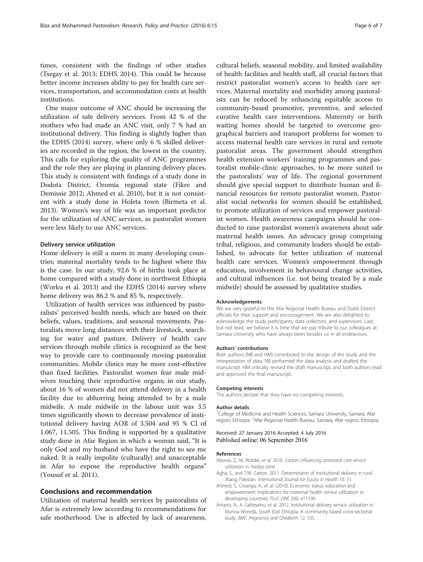<span id="page-5-0"></span>times, consistent with the findings of other studies (Tsegay et al. [2013](#page-6-0); EDHS 2014). This could be because better income increases ability to pay for health care services, transportation, and accommodation costs at health institutions.

One major outcome of ANC should be increasing the utilization of safe delivery services. From 42 % of the mothers who had made an ANC visit, only 7 % had an institutional delivery. This finding is slightly higher than the EDHS (2014) survey, where only 6 % skilled deliveries are recorded in the region, the lowest in the country. This calls for exploring the quality of ANC programmes and the role they are playing in planning delivery places. This study is consistent with findings of a study done in Dodota District, Oromia regional state (Fikre and Demissie [2012](#page-6-0); Ahmed et al. 2010), but it is not consistent with a study done in Holeta town (Birmeta et al. [2013](#page-6-0)). Women's way of life was an important predictor for the utilization of ANC services, as pastoralist women were less likely to use ANC services.

### Delivery service utilization

Home delivery is still a norm in many developing countries; maternal mortality tends to be highest where this is the case. In our study, 92.6 % of births took place at home compared with a study done in northwest Ethiopia (Worku et al. [2013\)](#page-6-0) and the EDHS (2014) survey where home delivery was 86.2 % and 85 %, respectively.

Utilization of health services was influenced by pastoralists' perceived health needs, which are based on their beliefs, values, traditions, and seasonal movements. Pastoralists move long distances with their livestock, searching for water and pasture. Delivery of health care services through mobile clinics is recognized as the best way to provide care to continuously moving pastoralist communities. Mobile clinics may be more cost-effective than fixed facilities. Pastoralist women fear male midwives touching their reproductive organs; in our study, about 16 % of women did not attend delivery in a health facility due to abhorring being attended to by a male midwife. A male midwife in the labour unit was 3.5 times significantly shown to decrease prevalence of institutional delivery having AOR of 3.504 and 95 % CI of 1.067, 11.505. This finding is supported by a qualitative study done in Afar Region in which a woman said, "It is only God and my husband who have the right to see me naked. It is really impolite (culturally) and unacceptable in Afar to expose the reproductive health organs" (Yousuf et al. [2011\)](#page-6-0).

### Conclusions and recommendation

Utilization of maternal health services by pastoralists of Afar is extremely low according to recommendations for safe motherhood. Use is affected by lack of awareness,

cultural beliefs, seasonal mobility, and limited availability of health facilities and health staff, all crucial factors that restrict pastoralist women's access to health care services. Maternal mortality and morbidity among pastoralists can be reduced by enhancing equitable access to community-based promotive, preventive, and selected curative health care interventions. Maternity or birth waiting homes should be targeted to overcome geographical barriers and transport problems for women to access maternal health care services in rural and remote pastoralist areas. The government should strengthen health extension workers' training programmes and pastoralist mobile-clinic approaches, to be more suited to the pastoralists' way of life. The regional government should give special support to distribute human and financial resources for remote pastoralist women. Pastoralist social networks for women should be established, to promote utilization of services and empower pastoralist women. Health awareness campaigns should be conducted to raise pastoralist women's awareness about safe maternal health issues. An advocacy group comprising tribal, religious, and community leaders should be established, to advocate for better utilization of maternal health care services. Women's empowerment through education, involvement in behavioural change activities, and cultural influences (i.e. not being treated by a male midwife) should be assessed by qualitative studies.

### Acknowledgements

We are very grateful to the Afar Regional Health Bureau and Dubti District officials for their support and encouragement. We are also delighted to acknowledge the study participants, data collectors, and supervisors. Last, but not least, we believe it is time that we pay tribute to our colleagues at Samara University who have always been besides us in all endeavours.

#### Authors' contributions

Both authors (NB and HM) contributed to the design of the study and the interpretation of data. NB performed the data analysis and drafted the manuscript. HM critically revised the draft manuscript, and both authors read and approved the final manuscript.

#### Competing interests

The authors declare that they have no competing interests.

#### Author details

<sup>1</sup>College of Medicine and Health Sciences, Samara University, Samara, Afar region, Ethiopia. <sup>2</sup> Afar Regional Health Bureau, Samara, Afar region, Ethiopia.

### Received: 27 January 2016 Accepted: 4 July 2016 Published online: 06 September 2016

### References

- Abosse, Z., M. Woldie, et al. 2010. Factors influencing antenatal care service utilization in Hadiya zone.
- Agha, S., and T.W. Carton. 2011. Determinants of institutional delivery in rural Jhang, Pakistan. International Journal for Equity in Health 10: 31.
- Ahmed, S., Creanga, A., et al. (2010). Economic status, education and empowerment: Implications for maternal health service utilization in developing countries. PLoS ONE 5(6): e11190.
- Amano, A., A. Gebeyehu, et al. 2012. Institutional delivery service utilization in Munisa Woreda, South East Ethiopia: A community based cross-sectional study. BMC Pregnancy and Childbirth 12: 105.